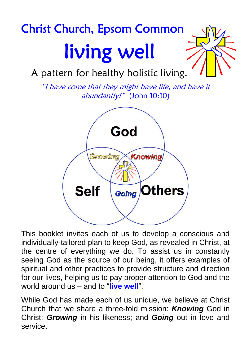# Christ Church, Epsom Common living well

A pattern for healthy holistic living.

"I have come that they might have life, and have it abundantly!" (John 10:10)



This booklet invites each of us to develop a conscious and individually-tailored plan to keep God, as revealed in Christ, at the centre of everything we do. To assist us in constantly seeing God as the source of our being, it offers examples of spiritual and other practices to provide structure and direction for our lives, helping us to pay proper attention to God and the world around us – and to "**live well**".

While God has made each of us unique, we believe at Christ Church that we share a three-fold mission: *Knowing* God in Christ; *Growing* in his likeness; and *Going* out in love and service.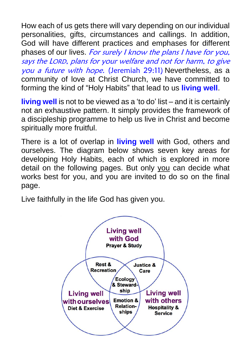How each of us gets there will vary depending on our individual personalities, gifts, circumstances and callings. In addition, God will have different practices and emphases for different phases of our lives. For surely I know the plans I have for you, says the LORD, plans for your welfare and not for harm, to give you a future with hope. (Jeremiah 29:11) Nevertheless, as a community of love at Christ Church, we have committed to forming the kind of "Holy Habits" that lead to us **living well**.

**living well** is not to be viewed as a 'to do' list – and it is certainly not an exhaustive pattern. It simply provides the framework of a discipleship programme to help us live in Christ and become spiritually more fruitful.

There is a lot of overlap in **living well** with God, others and ourselves. The diagram below shows seven key areas for developing Holy Habits, each of which is explored in more detail on the following pages. But only you can decide what works best for you, and you are invited to do so on the final page.

Live faithfully in the life God has given you.

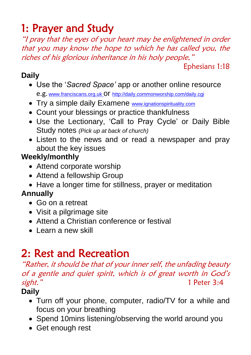## 1: Prayer and Study

"I pray that the eyes of your heart may be enlightened in order that you may know the hope to which he has called you, the riches of his glorious inheritance in his holy people,"

Ephesians 1:18

#### **Daily**

- Use the '*Sacred Space'* app or another online resource e.g. [www.franciscans.org.uk](http://www.franciscans.org.uk/) Of <http://daily.commonworship.com/daily.cgi>
- Try a simple daily Examene [www.ignationspirituality.com](http://www.ignationspirituality.com/)
- Count your blessings or practice thankfulness
- Use the Lectionary, 'Call to Pray Cycle' or Daily Bible Study notes *(Pick up at back of church)*
- Listen to the news and or read a newspaper and pray about the key issues

### **Weekly/monthly**

- Attend corporate worship
- Attend a fellowship Group
- Have a longer time for stillness, prayer or meditation

### **Annually**

- Go on a retreat
- Visit a pilgrimage site
- Attend a Christian conference or festival
- Learn a new skill

## 2: Rest and Recreation

#### "Rather, it should be that of your inner self, the unfading beauty of a gentle and quiet spirit, which is of great worth in God's sight." 1 Peter 3:4

#### **Daily**

- Turn off your phone, computer, radio/TV for a while and focus on your breathing
- Spend 10mins listening/observing the world around you
- Get enough rest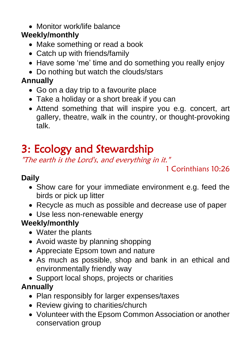#### • Monitor work/life balance

### **Weekly/monthly**

- Make something or read a book
- Catch up with friends/family
- Have some 'me' time and do something you really enjoy
- Do nothing but watch the clouds/stars

### **Annually**

- Go on a day trip to a favourite place
- Take a holiday or a short break if you can
- Attend something that will inspire you e.g. concert, art gallery, theatre, walk in the country, or thought-provoking talk.

## 3: Ecology and Stewardship

"The earth is the Lord's, and everything in it."

1 Corinthians 10:26

#### **Daily**

- Show care for your immediate environment e.g. feed the birds or pick up litter
- Recycle as much as possible and decrease use of paper
- Use less non-renewable energy

#### **Weekly/monthly**

- Water the plants
- Avoid waste by planning shopping
- Appreciate Epsom town and nature
- As much as possible, shop and bank in an ethical and environmentally friendly way
- Support local shops, projects or charities

### **Annually**

- Plan responsibly for larger expenses/taxes
- Review giving to charities/church
- Volunteer with the Epsom Common Association or another conservation group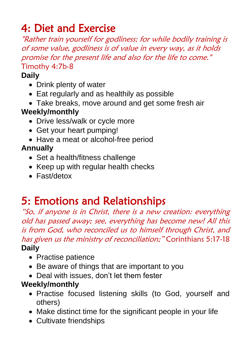## 4: Diet and Exercise

"Rather train yourself for godliness; for while bodily training is of some value, godliness is of value in every way, as it holds promise for the present life and also for the life to come." Timothy 4:7b-8

#### **Daily**

- Drink plenty of water
- Eat regularly and as healthily as possible
- Take breaks, move around and get some fresh air

#### **Weekly/monthly**

- Drive less/walk or cycle more
- Get your heart pumping!
- Have a meat or alcohol-free period

#### **Annually**

- Set a health/fitness challenge
- Keep up with regular health checks
- Fast/detox

## 5: Emotions and Relationships

"So, if anyone is in Christ, there is a new creation: everything old has passed away; see, everything has become new! All this is from God, who reconciled us to himself through Christ, and has given us the ministry of reconciliation;" Corinthians 5:17-18 **Daily** 

- Practise patience
- Be aware of things that are important to you
- Deal with issues, don't let them fester

#### **Weekly/monthly**

- Practise focused listening skills (to God, yourself and others)
- Make distinct time for the significant people in your life
- Cultivate friendships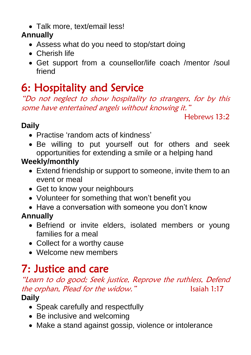• Talk more, text/email less!

#### **Annually**

- Assess what do you need to stop/start doing
- Cherish life
- Get support from a counsellor/life coach /mentor /soul friend

## 6: Hospitality and Service

"Do not neglect to show hospitality to strangers, for by this some have entertained angels without knowing it."

Hebrews 13:2

#### **Daily**

- Practise 'random acts of kindness'
- Be willing to put yourself out for others and seek opportunities for extending a smile or a helping hand

#### **Weekly/monthly**

- Extend friendship or support to someone, invite them to an event or meal
- Get to know your neighbours
- Volunteer for something that won't benefit you
- Have a conversation with someone you don't know

#### **Annually**

- Befriend or invite elders, isolated members or young families for a meal
- Collect for a worthy cause
- Welcome new members

## 7: Justice and care

#### "Learn to do good; Seek justice, Reprove the ruthless, Defend the orphan, Plead for the widow." Isaiah 1:17 **Daily**

- Speak carefully and respectfully
- Be inclusive and welcoming
- Make a stand against gossip, violence or intolerance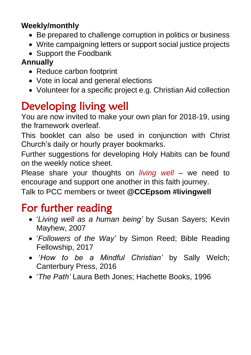#### **Weekly/monthly**

- Be prepared to challenge corruption in politics or business
- Write campaigning letters or support social justice projects
- Support the Foodbank

### **Annually**

- Reduce carbon footprint
- Vote in local and general elections
- Volunteer for a specific project e.g. Christian Aid collection

## Developing living well

You are now invited to make your own plan for 2018-19, using the framework overleaf.

This booklet can also be used in conjunction with Christ Church's daily or hourly prayer bookmarks.

Further suggestions for developing Holy Habits can be found on the weekly notice sheet.

Please share your thoughts on *living well* – we need to encourage and support one another in this faith journey.

Talk to PCC members or tweet **@CCEpsom #livingwell**

## For further reading

- '*Living well as a human being'* by Susan Sayers; Kevin Mayhew, 2007
- '*Followers of the Way'* by Simon Reed; Bible Reading Fellowship, 2017
- '*How to be a Mindful Christian'* by Sally Welch; Canterbury Press, 2016
- '*The Path'* Laura Beth Jones; Hachette Books, 1996